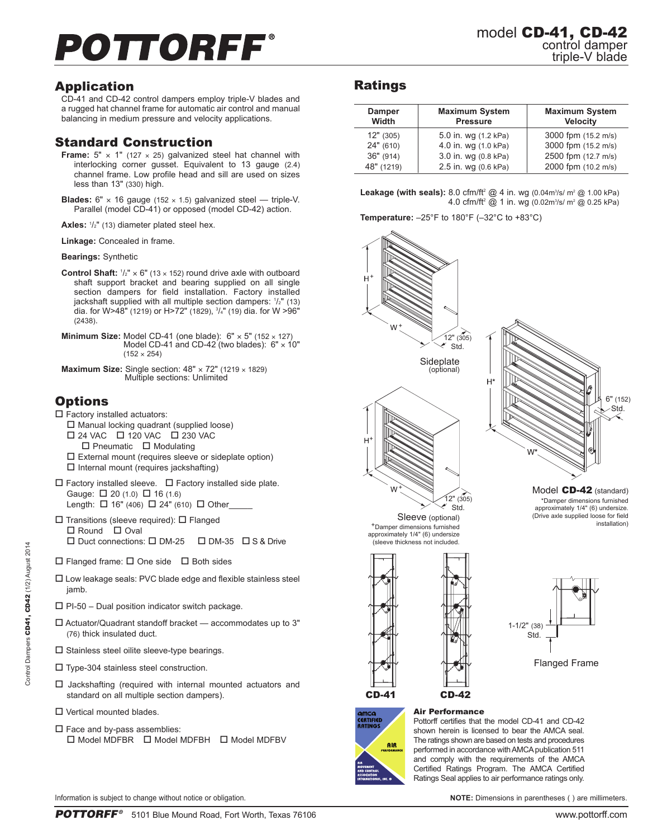# POTTORFF®

## Application

CD-41 and CD-42 control dampers employ triple-V blades and a rugged hat channel frame for automatic air control and manual balancing in medium pressure and velocity applications.

## Standard Construction

- **Frame:**  $5" \times 1"$  (127  $\times$  25) galvanized steel hat channel with interlocking corner gusset. Equivalent to 13 gauge (2.4) channel frame. Low profile head and sill are used on sizes less than 13" (330) high.
- **Blades:**  $6'' \times 16$  gauge (152  $\times$  1.5) galvanized steel triple-V. Parallel (model CD-41) or opposed (model CD-42) action.
- **Axles:** <sup>1</sup> /2" (13) diameter plated steel hex.
- **Linkage:** Concealed in frame.

**Bearings:** Synthetic

- **Control Shaft:**  $1/2$ "  $\times$  6" (13  $\times$  152) round drive axle with outboard shaft support bracket and bearing supplied on all single section dampers for field installation. Factory installed jackshaft supplied with all multiple section dampers: 1 /2" (13) dia. for W>48" (1219) or H>72" (1829), 3 /4" (19) dia. for W >96" (2438).
- **Minimum Size:** Model CD-41 (one blade):  $6'' \times 5''$  (152  $\times$  127) Model CD-41 and CD-42 (two blades):  $6" \times 10"$  $(152 \times 254)$
- **Maximum Size:** Single section:  $48" \times 72"$  (1219  $\times$  1829) Multiple sections: Unlimited

## **Options**

- $\square$  Factory installed actuators:
- $\square$  Manual locking quadrant (supplied loose)  $\Box$  24 VAC  $\Box$  120 VAC  $\Box$  230 VAC  $\Box$  Pneumatic  $\Box$  Modulating
- $\square$  External mount (requires sleeve or sideplate option)  $\square$  Internal mount (requires jackshafting)
- $\Box$  Factory installed sleeve.  $\Box$  Factory installed side plate. Gauge:  $\Box$  20 (1.0)  $\Box$  16 (1.6) Length:  $\Box$  16" (406)  $\Box$  24" (610)  $\Box$  Other\_
- $\square$  Transitions (sleeve required):  $\square$  Flanged  $\Box$  Round  $\Box$  Oval  $\square$  Duct connections:  $\square$  DM-25  $\square$  DM-35  $\square$  S & Drive
- $\square$  Flanged frame:  $\square$  One side  $\square$  Both sides
- $\square$  Low leakage seals: PVC blade edge and flexible stainless steel jamb.
- $\square$  PI-50 Dual position indicator switch package.
- $\square$  Actuator/Quadrant standoff bracket  $-$  accommodates up to 3" (76) thick insulated duct.
- $\square$  Stainless steel oilite sleeve-type bearings.
- $\square$  Type-304 stainless steel construction.
- $\square$  Jackshafting (required with internal mounted actuators and standard on all multiple section dampers).
- $\square$  Vertical mounted blades.
- $\square$  Face and by-pass assemblies:  $\square$  Model MDFBR  $\square$  Model MDFBH  $\square$  Model MDFBV

## Ratings

| <b>Damper</b><br>Width | <b>Maximum System</b><br><b>Pressure</b> | <b>Maximum System</b><br><b>Velocity</b> |
|------------------------|------------------------------------------|------------------------------------------|
| 12" (305)              | 5.0 in. wg (1.2 kPa)                     | 3000 fpm (15.2 m/s)                      |
| 24" (610)              | 4.0 in. wg (1.0 kPa)                     | 3000 fpm (15.2 m/s)                      |
| 36" (914)              | 3.0 in. wg (0.8 kPa)                     | 2500 fpm (12.7 m/s)                      |
| 48" (1219)             | 2.5 in. wg (0.6 kPa)                     | 2000 fpm (10.2 m/s)                      |

**Leakage (with seals):** 8.0 cfm/ft<sup>2</sup> @ 4 in. wg (0.04m<sup>3</sup>/s/ m<sup>2</sup> @ 1.00 kPa) 4.0 cfm/ft² @ 1 in. wg (0.02m¾/s/ m² @ 0.25 kPa)

**Temperature:** –25°F to 180°F (–32°C to +83°C)





Pottorff certifies that the model CD-41 and CD-42 shown herein is licensed to bear the AMCA seal. The ratings shown are based on tests and procedures performed in accordance with AMCA publication 511 and comply with the requirements of the AMCA Certified Ratings Program. The AMCA Certified Ratings Seal applies to air performance ratings only.

Information is subject to change without notice or obligation. **NOTE:** Dimensions in parentheses ( ) are millimeters.